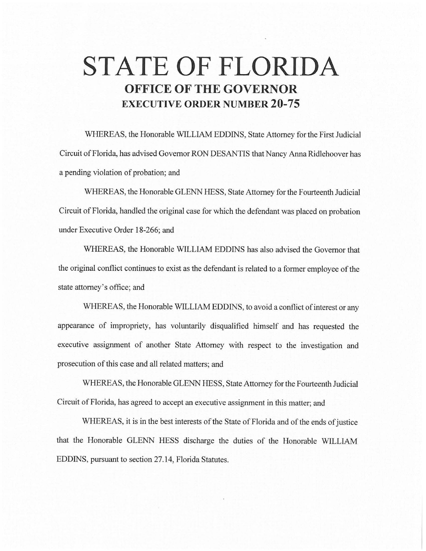# **STATE OF FLORIDA OFFICE OF THE GOVERNOR EXECUTIVE ORDER NUMBER 20-75**

WHEREAS, the Honorable WILLIAM EDDINS, State Attorney for the First Judicial Circuit of Florida, has advised Governor RON DESANTIS that Nancy Anna Ridlehoover has a pending violation of probation; and

WHEREAS, the Honorable GLENN HESS, State Attorney for the Fourteenth Judicial Circuit of Florida, handled the original case for which the defendant was placed on probation under Executive Order 18-266; and

WHEREAS, the Honorable WILLIAM EDDINS has also advised the Governor that the original conflict continues to exist as the defendant is related to a former employee of the state attorney's office; and

WHEREAS, the Honorable WILLIAM EDDINS, to avoid a conflict of interest or any appearance of impropriety, has voluntarily disqualified himself and has requested the executive assignment of another State Attorney with respect to the investigation and prosecution of this case and all related matters; and

WHEREAS, the Honorable GLENN HESS, State Attorney for the Fourteenth Judicial Circuit of Florida, has agreed to accept an executive assignment in this matter; and

WHEREAS, it is in the best interests of the State of Florida and of the ends of justice that the Honorable GLENN HESS discharge the duties of the Honorable WILLIAM EDDINS, pursuant to section 27.14, Florida Statutes.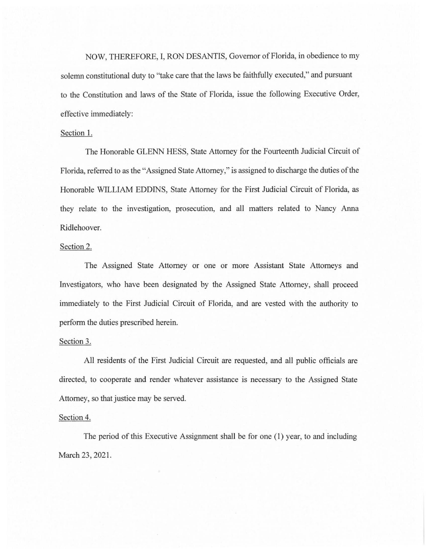NOW, THEREFORE, I, RON DESANTIS, Governor of Florida, in obedience to my solemn constitutional duty to "take care that the laws be faithfully executed," and pursuant to the Constitution and laws of the State of Florida, issue the following Executive Order, effective immediately:

## Section 1.

The Honorable GLENN HESS, State Attorney for the Fourteenth Judicial Circuit of Florida, referred to as the "Assigned State Attorney," is assigned to discharge the duties of the Honorable WILLIAM EDDINS, State Attorney for the First Judicial Circuit of Florida, as they relate to the investigation, prosecution, and all matters related to Nancy Anna Ridlehoover.

## Section 2.

The Assigned State Attorney or one or more Assistant State Attorneys and Investigators, who have been designated by the Assigned State Attorney, shall proceed immediately to the First Judicial Circuit of Florida, and are vested with the authority to perform the duties prescribed herein.

### Section 3.

All residents of the First Judicial Circuit are requested, and all public officials are directed, to cooperate and render whatever assistance is necessary to the Assigned State Attorney, so that justice may be served.

### Section 4.

The period of this Executive Assignment shall be for one (I) year, to and including March 23, 2021.